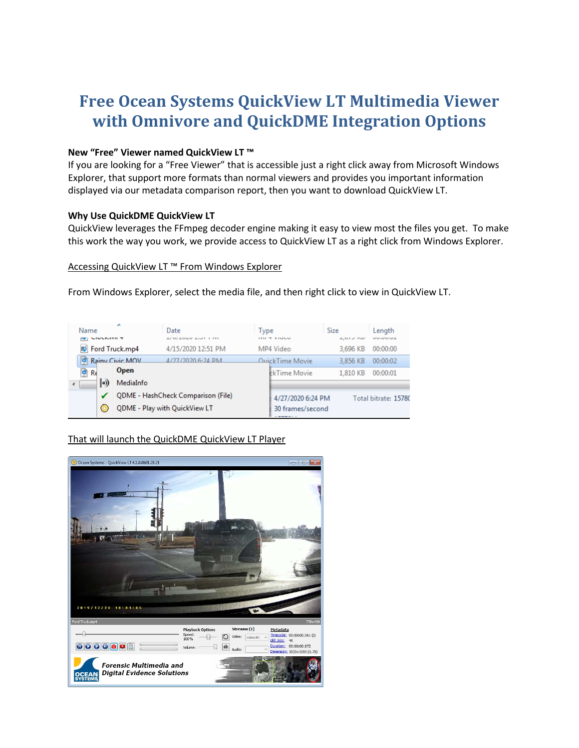# **Free Ocean Systems QuickView LT Multimedia Viewer with Omnivore and QuickDME Integration Options**

#### **New "Free" Viewer named QuickView LT ™**

If you are looking for a "Free Viewer" that is accessible just a right click away from Microsoft Windows Explorer, that support more formats than normal viewers and provides you important information displayed via our metadata comparison report, then you want to download QuickView LT.

### **Why Use QuickDME QuickView LT**

QuickView leverages the FFmpeg decoder engine making it easy to view most the files you get. To make this work the way you work, we provide access to QuickView LT as a right click from Windows Explorer.

#### Accessing QuickView LT ™ From Windows Explorer

From Windows Explorer, select the media file, and then right click to view in QuickView LT.

| Name<br><b>NIVERSITI T</b> | A               | Date<br><b>IT IT IS OUT USE IT IT IS A THE</b> | Type | <b>IVILY VIGLU</b>      | <b>Size</b><br><b>LIVED IND</b> | Length<br><b>MMINNING</b> |
|----------------------------|-----------------|------------------------------------------------|------|-------------------------|---------------------------------|---------------------------|
| 图 Ford Truck.mp4           |                 | 4/15/2020 12:51 PM                             |      | MP4 Video               | 3.696 KB                        | 00:00:00                  |
| Р                          | Rainy Civic MOV | 4/27/2020 6-24 PM                              |      | <u> QuickTime Movie</u> | 3.856 KB                        | 00:00:02                  |
| $\bullet$ Re               | <b>Open</b>     |                                                |      | <b>ckTime Movie</b>     | 1.810 KB                        | 00:00:01                  |
| $\ket{0}$                  | MediaInfo       |                                                |      |                         |                                 |                           |
|                            |                 | QDME - HashCheck Comparison (File)             |      | 4/27/2020 6:24 PM       |                                 | Total bitrate: 15780      |
|                            |                 | QDME - Play with QuickView LT                  |      | 30 frames/second        |                                 |                           |

That will launch the QuickDME QuickView LT Player

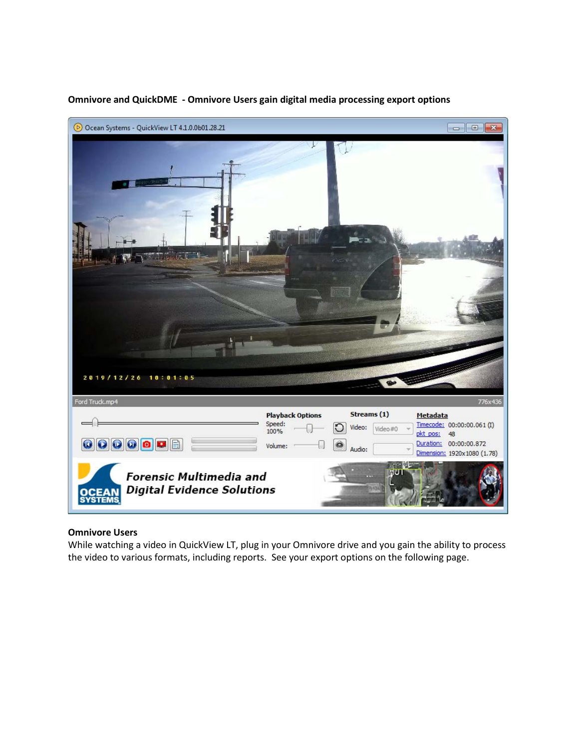

#### **Omnivore and QuickDME - Omnivore Users gain digital media processing export options**

#### **Omnivore Users**

While watching a video in QuickView LT, plug in your Omnivore drive and you gain the ability to process the video to various formats, including reports. See your export options on the following page.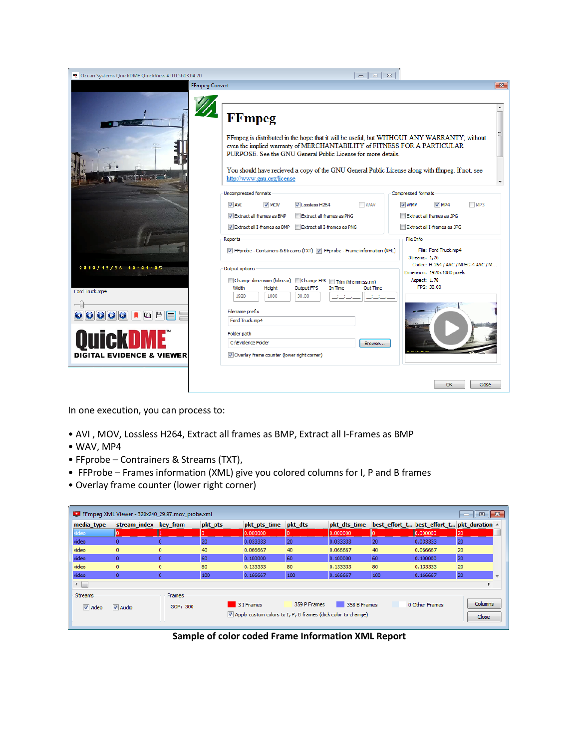| <sup>49</sup> Ocean Systems QuickDME QuickView 4.0.0.5b03.04.20                                                                                                                                                                                                                                                                                                               | $\Sigma$<br>$\Box$<br>$\Box$                                                                                                                                                                                                                                                                                                                                                                |                                                                                                                                           |
|-------------------------------------------------------------------------------------------------------------------------------------------------------------------------------------------------------------------------------------------------------------------------------------------------------------------------------------------------------------------------------|---------------------------------------------------------------------------------------------------------------------------------------------------------------------------------------------------------------------------------------------------------------------------------------------------------------------------------------------------------------------------------------------|-------------------------------------------------------------------------------------------------------------------------------------------|
| <b>FFmpeg Convert</b>                                                                                                                                                                                                                                                                                                                                                         |                                                                                                                                                                                                                                                                                                                                                                                             | $-25$                                                                                                                                     |
|                                                                                                                                                                                                                                                                                                                                                                               | <b>FFmpeg</b><br>FFmpeg is distributed in the hope that it will be useful, but WITHOUT ANY WARRANTY; without<br>even the implied warranty of MERCHANTABILITY of FITNESS FOR A PARTICULAR<br>PURPOSE. See the GNU General Public License for more details.<br>You should have recieved a copy of the GNU General Public License along with ffmpeg. If not, see<br>http://www.gnu.org/license |                                                                                                                                           |
|                                                                                                                                                                                                                                                                                                                                                                               | <b>Uncompressed formats</b><br>V AVI<br>V MOV<br>V Lossless H264<br><b>WAV</b><br>Extract all frames as PNG<br>Extract all frames as BMP<br>Extract all I-frames as BMP Extract all I-frames as PNG<br>Reports                                                                                                                                                                              | <b>Compressed formats</b><br>$V$ MP4<br>MPS<br>V WMV<br>Extract all frames as JPG<br>Extract all I-frames as JPG<br>File Info             |
| 2019/12/26 10:01:05<br>Ford Truck.mp4                                                                                                                                                                                                                                                                                                                                         | The FF probe - Containers & Streams (TXT) The FF probe - Frame information (XML)<br>Output options<br>Change dimension (bilinear) Change FPS<br>Trim (hh:mm:ss.nn)<br>Width<br>Height<br>Output FPS<br><b>Out Time</b><br>In Time                                                                                                                                                           | File: Ford Truck.mp4<br>Streams: 1,26<br>Codec: H.264 / AVC / MPEG-4 AVC / M<br>Dimension: 1920x1080 pixels<br>Aspect: 1.78<br>FPS: 30.00 |
| $\textcolor{blue}{\textcolor{blue}{\textbf{0}}}\textcolor{blue}{\textcolor{blue}{\textbf{0}}}\textcolor{blue}{\textbf{0}}\textcolor{blue}{\textbf{0}}\textcolor{blue}{\textbf{0}}\textcolor{blue}{\textbf{0}}\textcolor{blue}{\textbf{0}}\textcolor{blue}{\textbf{0}}\textcolor{blue}{\textbf{0}}\textcolor{blue}{\textbf{0}}\textcolor{blue}{\textbf{0}}$<br><b>OuickDME</b> | 1920<br>1080<br>30.00<br>$1 - 1$<br>Filename prefix<br>Ford Truck.mp4<br>Folder path<br>C: \Evidence Folder                                                                                                                                                                                                                                                                                 |                                                                                                                                           |
| <b>DIGITAL EVIDENCE &amp; VIEWER</b>                                                                                                                                                                                                                                                                                                                                          | Browse<br>Overlay frame counter (lower right corner)                                                                                                                                                                                                                                                                                                                                        | OK<br>Close                                                                                                                               |

In one execution, you can process to:

- AVI , MOV, Lossless H264, Extract all frames as BMP, Extract all I-Frames as BMP
- WAV, MP4
- FFprobe Contrainers & Streams (TXT),
- FFProbe Frames information (XML) give you colored columns for I, P and B frames
- Overlay frame counter (lower right corner)

| media_type     | stream index key fram |              | pkt pts | pkt pts time | pkt dts      | pkt dts time |     | best effort t best effort t pkt duration ^ |                |
|----------------|-----------------------|--------------|---------|--------------|--------------|--------------|-----|--------------------------------------------|----------------|
| video          |                       |              |         | 10.000000    |              | 10.000000    |     | 10.000000                                  | $\frac{1}{20}$ |
| video          |                       |              | 20      | 0.033333     | 20           | 0.033333     | 20  | 0.033333                                   | 20             |
| video          | $\circ$               | $\mathbf{0}$ | 40      | 0.066667     | 40           | 0.066667     | 40  | 0.066667                                   | 20             |
| video          | n                     |              | 60      | 0.100000     | 60           | 0.100000     | 60  | 0.100000                                   | 20             |
| video          | $\mathbf{0}$          | $\Omega$     | 80      | 0.133333     | 80           | 0.133333     | 80  | 0.133333                                   | 20             |
| video          |                       |              | 100     | 0.166667     | 100          | 0.166667     | 100 | 0.166667                                   | 20             |
| ←⊫             |                       |              |         |              |              |              |     |                                            |                |
| <b>Streams</b> |                       | Frames       |         |              |              |              |     |                                            |                |
|                |                       | GOP: 300     |         | 3 I Frames   | 359 P Frames | 358 B Frames |     | 0 Other Frames                             | Columns        |

**Sample of color coded Frame Information XML Report**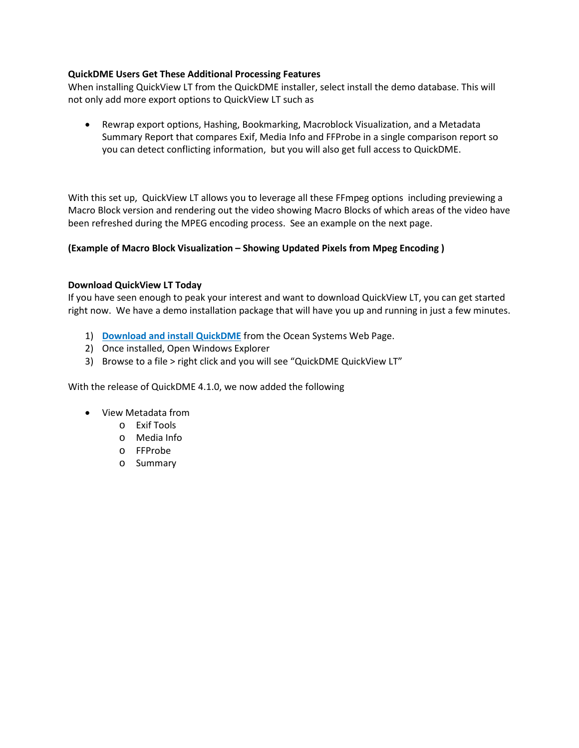#### **QuickDME Users Get These Additional Processing Features**

When installing QuickView LT from the QuickDME installer, select install the demo database. This will not only add more export options to QuickView LT such as

• Rewrap export options, Hashing, Bookmarking, Macroblock Visualization, and a Metadata Summary Report that compares Exif, Media Info and FFProbe in a single comparison report so you can detect conflicting information, but you will also get full access to QuickDME.

With this set up, QuickView LT allows you to leverage all these FFmpeg options including previewing a Macro Block version and rendering out the video showing Macro Blocks of which areas of the video have been refreshed during the MPEG encoding process. See an example on the next page.

### **(Example of Macro Block Visualization – Showing Updated Pixels from Mpeg Encoding )**

### **Download QuickView LT Today**

If you have seen enough to peak your interest and want to download QuickView LT, you can get started right now. We have a demo installation package that will have you up and running in just a few minutes.

- 1) **[Download and install QuickDME](https://store.oceansystems.com/downloads/)** from the Ocean Systems Web Page.
- 2) Once installed, Open Windows Explorer
- 3) Browse to a file > right click and you will see "QuickDME QuickView LT"

With the release of QuickDME 4.1.0, we now added the following

- View Metadata from
	- o Exif Tools
	- o Media Info
	- o FFProbe
	- o Summary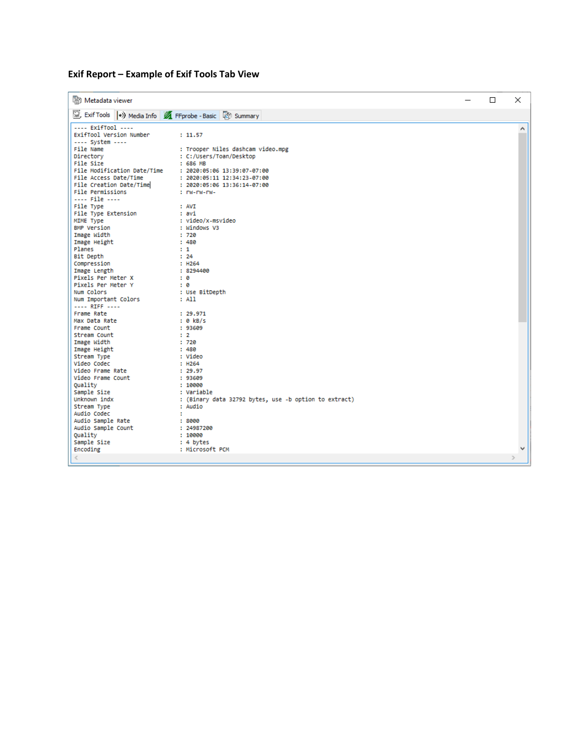## **Exif Report – Example of Exif Tools Tab View**

| Metadata viewer                                          |                                                       | □ | $\times$ |
|----------------------------------------------------------|-------------------------------------------------------|---|----------|
| Exif Tools (*) Media Info 4 FFprobe - Basic   in Summary |                                                       |   |          |
| ---- ExifTool ----                                       |                                                       |   | Α        |
| ExifTool Version Number                                  | : 11.57                                               |   |          |
| ---- System ----                                         |                                                       |   |          |
| File Name                                                | : Trooper Niles dashcam video.mpg                     |   |          |
| Directory                                                | : C:/Users/Toan/Desktop                               |   |          |
| File Size                                                | : 686 MB                                              |   |          |
| File Modification Date/Time                              | : 2020:05:06 13:39:07-07:00                           |   |          |
| File Access Date/Time                                    | : 2020:05:11 12:34:23-07:00                           |   |          |
| File Creation Date/Time                                  | : 2020:05:06 13:36:14-07:00                           |   |          |
| File Permissions                                         | : rw-rw-rw-                                           |   |          |
| ---- File ----                                           | : AVI                                                 |   |          |
| File Type                                                | : avi                                                 |   |          |
| File Type Extension<br>MIME Type                         | : video/x-msvideo                                     |   |          |
| <b>BMP Version</b>                                       | : Windows V3                                          |   |          |
| Image Width                                              | :720                                                  |   |          |
| Image Height                                             | : 480                                                 |   |          |
| Planes                                                   | $\pm 1$                                               |   |          |
| Bit Depth                                                | : 24                                                  |   |          |
| Compression                                              | : H264                                                |   |          |
| Image Length                                             | : 8294400                                             |   |          |
| Pixels Per Meter X                                       | $\mathbf{B}$                                          |   |          |
| Pixels Per Meter Y                                       | : 0                                                   |   |          |
| Num Colors                                               | : Use BitDepth                                        |   |          |
| Num Important Colors                                     | : All                                                 |   |          |
| ---- RIFF ----                                           |                                                       |   |          |
| Frame Rate                                               | : 29.971                                              |   |          |
| Max Data Rate                                            | $: 0$ kB/s                                            |   |          |
| Frame Count                                              | : 93609                                               |   |          |
| Stream Count                                             | $\pm$ 2                                               |   |          |
| Image Width                                              | :720                                                  |   |          |
| Image Height                                             | : 480                                                 |   |          |
| Stream Type                                              | : Video                                               |   |          |
| Video Codec                                              | : H264                                                |   |          |
| Video Frame Rate                                         | : 29.97                                               |   |          |
| Video Frame Count                                        | : 93609                                               |   |          |
| Ouality                                                  | : 10000                                               |   |          |
| Sample Size                                              | : Variable                                            |   |          |
| Unknown indx                                             | : (Binary data 32792 bytes, use -b option to extract) |   |          |
| Stream Type                                              | : Audio                                               |   |          |
| Audio Codec                                              | ÷.                                                    |   |          |
| Audio Sample Rate<br>Audio Sample Count                  | :8000<br>: 24987200                                   |   |          |
| Quality                                                  | : 10000                                               |   |          |
| Sample Size                                              | : 4 bytes                                             |   |          |
| Encoding                                                 | : Microsoft PCM                                       |   | v        |
|                                                          |                                                       |   |          |
|                                                          |                                                       |   |          |
|                                                          |                                                       |   |          |